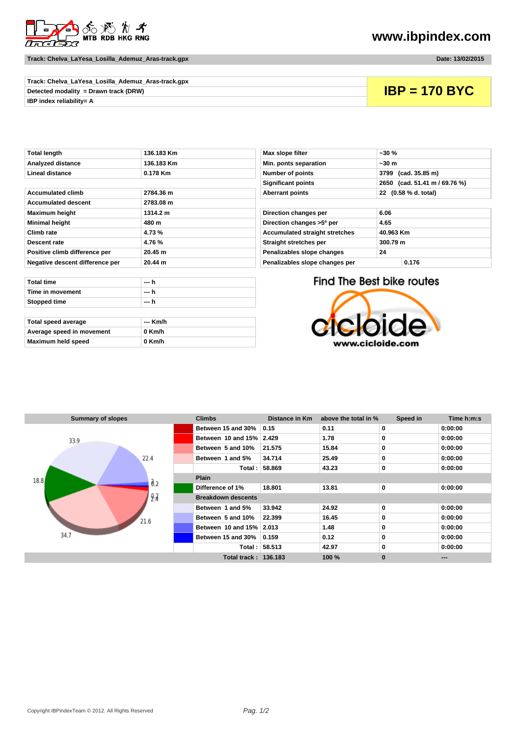

**Track: Chelva\_LaYesa\_Losilla\_Ademuz\_Aras-track.gpx Date: 13/02/2015**

## **www.ibpindex.com**

| Track: Chelva_LaYesa_Losilla_Ademuz_Aras-track.gpx |                 |
|----------------------------------------------------|-----------------|
| Detected modality = Drawn track (DRW)              | $IBP = 170$ BYC |
| <b>IBP index reliability= A</b>                    |                 |

| <b>Total length</b>             | 136.183 Km | Max slope filter<br>$-30%$                         |                        |                    |
|---------------------------------|------------|----------------------------------------------------|------------------------|--------------------|
| <b>Analyzed distance</b>        | 136.183 Km | Min. ponts separation                              | ~50m                   |                    |
| Lineal distance                 | $0.178$ Km | <b>Number of points</b>                            | (cad. 35.85 m)<br>3799 |                    |
|                                 |            | <b>Significant points</b>                          |                        | 2650 (cad. 51.41 m |
| <b>Accumulated climb</b>        | 2784.36 m  | <b>Aberrant points</b><br>22                       |                        | (0.58 % d. total)  |
| <b>Accumulated descent</b>      | 2783.08 m  |                                                    |                        |                    |
| <b>Maximum height</b>           | 1314.2 m   | Direction changes per                              | 6.06                   |                    |
| <b>Minimal height</b>           | 480 m      | Direction changes >5° per<br>4.65                  |                        |                    |
| Climb rate                      | 4.73%      | <b>Accumulated straight stretches</b><br>40.963 Km |                        |                    |
| Descent rate                    | 4.76%      | Straight stretches per                             | 300.79 m               |                    |
| Positive climb difference per   | 20.45 m    | Penalizables slope changes<br>24                   |                        |                    |
| Negative descent difference per | 20.44 m    | Penalizables slope changes per                     | 0.176                  |                    |

| Min. ponts separation                 | ~1.30~m                          |  |  |
|---------------------------------------|----------------------------------|--|--|
| <b>Number of points</b>               | (cad. 35.85 m)<br>3799           |  |  |
| <b>Significant points</b>             | (cad. 51.41 m / 69.76 %)<br>2650 |  |  |
| <b>Aberrant points</b>                | 22 (0.58 % d. total)             |  |  |
|                                       |                                  |  |  |
| Direction changes per                 | 6.06                             |  |  |
| Direction changes >5° per             | 4.65                             |  |  |
| <b>Accumulated straight stretches</b> | 40.963 Km                        |  |  |
| Straight stretches per                | 300.79 m                         |  |  |
|                                       | 24                               |  |  |
| Penalizables slope changes            |                                  |  |  |

|                   | $\cdots$ |
|-------------------|----------|
|                   |          |
| Stopped time      | --- h    |
| Time in movement  | --- h    |
| <b>Total time</b> | --- h    |

| Total speed average       | --- Km/h |
|---------------------------|----------|
| Average speed in movement | 0 Km/h   |
| Maximum held speed        | 0 Km/h   |

Find The Best bike routes



| <b>Summary of slopes</b>    | <b>Climbs</b>               | Distance in Km | above the total in % | Speed in    | Time h:m:s |  |
|-----------------------------|-----------------------------|----------------|----------------------|-------------|------------|--|
|                             | Between 15 and 30%          | 0.15           | 0.11                 | 0           | 0:00:00    |  |
| 33.9                        | Between 10 and 15% 2.429    |                | 1.78                 | 0           | 0:00:00    |  |
|                             | Between 5 and 10%           | 21.575         | 15.84                | 0           | 0:00:00    |  |
| 22.4                        | Between 1 and 5%            | 34.714         | 25.49                | 0           | 0:00:00    |  |
| 18.8<br>$\mathfrak{g}_{.2}$ |                             | Total: 58.869  | 43.23                | 0           | 0:00:00    |  |
|                             | <b>Plain</b>                |                |                      |             |            |  |
|                             | Difference of 1%            | 18.801         | 13.81                | $\mathbf 0$ | 0:00:00    |  |
| 9.2                         | <b>Breakdown descents</b>   |                |                      |             |            |  |
| 21.6<br>34.7                | Between 1 and 5%            | 33.942         | 24.92                | $\mathbf 0$ | 0:00:00    |  |
|                             | Between 5 and 10%           | 22.399         | 16.45                | 0           | 0:00:00    |  |
|                             | Between 10 and 15% 2.013    |                | 1.48                 | 0           | 0:00:00    |  |
|                             | Between 15 and 30%          | 0.159          | 0.12                 | $\bf{0}$    | 0:00:00    |  |
|                             |                             | Total: 58.513  | 42.97                | 0           | 0:00:00    |  |
|                             | <b>Total track: 136.183</b> |                | 100 %                | $\bf{0}$    | ---        |  |